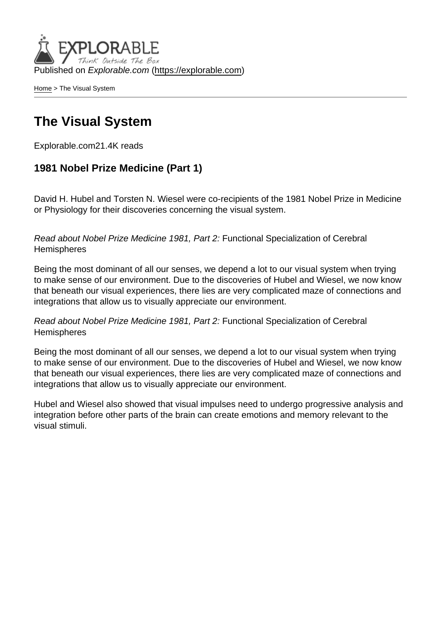Published on Explorable.com (<https://explorable.com>)

[Home](https://explorable.com/) > The Visual System

# The Visual System

Explorable.com21.4K reads

1981 Nobel Prize Medicine (Part 1)

David H. Hubel and Torsten N. Wiesel were co-recipients of the 1981 Nobel Prize in Medicine or Physiology for their discoveries concerning the visual system.

Read about Nobel Prize Medicine 1981, Part 2: Functional Specialization of Cerebral **Hemispheres** 

Being the most dominant of all our senses, we depend a lot to our visual system when trying to make sense of our environment. Due to the discoveries of Hubel and Wiesel, we now know that beneath our visual experiences, there lies are very complicated maze of connections and integrations that allow us to visually appreciate our environment.

Read about Nobel Prize Medicine 1981, Part 2: Functional Specialization of Cerebral **Hemispheres** 

Being the most dominant of all our senses, we depend a lot to our visual system when trying to make sense of our environment. Due to the discoveries of Hubel and Wiesel, we now know that beneath our visual experiences, there lies are very complicated maze of connections and integrations that allow us to visually appreciate our environment.

Hubel and Wiesel also showed that visual impulses need to undergo progressive analysis and integration before other parts of the brain can create emotions and memory relevant to the visual stimuli.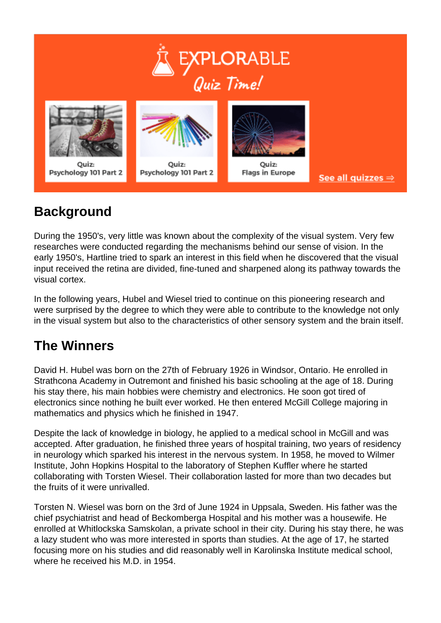

# **Background**

During the 1950's, very little was known about the complexity of the visual system. Very few researches were conducted regarding the mechanisms behind our sense of vision. In the early 1950's, Hartline tried to spark an interest in this field when he discovered that the visual input received the retina are divided, fine-tuned and sharpened along its pathway towards the visual cortex.

In the following years, Hubel and Wiesel tried to continue on this pioneering research and were surprised by the degree to which they were able to contribute to the knowledge not only in the visual system but also to the characteristics of other sensory system and the brain itself.

#### **The Winners**

David H. Hubel was born on the 27th of February 1926 in Windsor, Ontario. He enrolled in Strathcona Academy in Outremont and finished his basic schooling at the age of 18. During his stay there, his main hobbies were chemistry and electronics. He soon got tired of electronics since nothing he built ever worked. He then entered McGill College majoring in mathematics and physics which he finished in 1947.

Despite the lack of knowledge in biology, he applied to a medical school in McGill and was accepted. After graduation, he finished three years of hospital training, two years of residency in neurology which sparked his interest in the nervous system. In 1958, he moved to Wilmer Institute, John Hopkins Hospital to the laboratory of Stephen Kuffler where he started collaborating with Torsten Wiesel. Their collaboration lasted for more than two decades but the fruits of it were unrivalled.

Torsten N. Wiesel was born on the 3rd of June 1924 in Uppsala, Sweden. His father was the chief psychiatrist and head of Beckomberga Hospital and his mother was a housewife. He enrolled at Whitlockska Samskolan, a private school in their city. During his stay there, he was a lazy student who was more interested in sports than studies. At the age of 17, he started focusing more on his studies and did reasonably well in Karolinska Institute medical school, where he received his  $MD$  in 1954.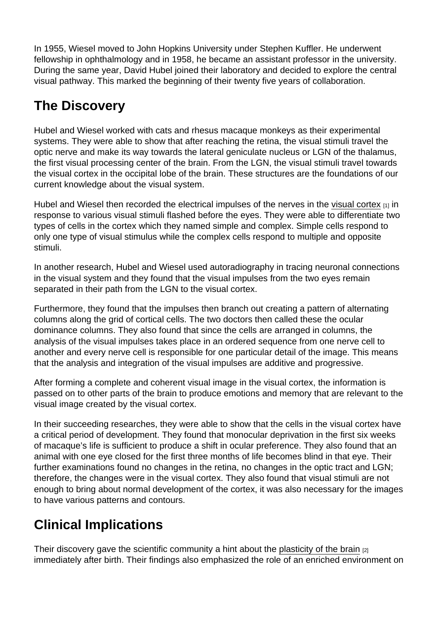In 1955, Wiesel moved to John Hopkins University under Stephen Kuffler. He underwent fellowship in ophthalmology and in 1958, he became an assistant professor in the university. During the same year, David Hubel joined their laboratory and decided to explore the central visual pathway. This marked the beginning of their twenty five years of collaboration.

### The Discovery

Hubel and Wiesel worked with cats and rhesus macaque monkeys as their experimental systems. They were able to show that after reaching the retina, the visual stimuli travel the optic nerve and make its way towards the lateral geniculate nucleus or LGN of the thalamus, the first visual processing center of the brain. From the LGN, the visual stimuli travel towards the visual cortex in the occipital lobe of the brain. These structures are the foundations of our current knowledge about the visual system.

Hubel and Wiesel then recorded the electrical impulses of the nerves in the [visual cortex](http://en.wikipedia.org/wiki/Visual_system)  $_{[1]}$  in response to various visual stimuli flashed before the eyes. They were able to differentiate two types of cells in the cortex which they named simple and complex. Simple cells respond to only one type of visual stimulus while the complex cells respond to multiple and opposite stimuli.

In another research, Hubel and Wiesel used autoradiography in tracing neuronal connections in the visual system and they found that the visual impulses from the two eyes remain separated in their path from the LGN to the visual cortex.

Furthermore, they found that the impulses then branch out creating a pattern of alternating columns along the grid of cortical cells. The two doctors then called these the ocular dominance columns. They also found that since the cells are arranged in columns, the analysis of the visual impulses takes place in an ordered sequence from one nerve cell to another and every nerve cell is responsible for one particular detail of the image. This means that the analysis and integration of the visual impulses are additive and progressive.

After forming a complete and coherent visual image in the visual cortex, the information is passed on to other parts of the brain to produce emotions and memory that are relevant to the visual image created by the visual cortex.

In their succeeding researches, they were able to show that the cells in the visual cortex have a critical period of development. They found that monocular deprivation in the first six weeks of macaque's life is sufficient to produce a shift in ocular preference. They also found that an animal with one eye closed for the first three months of life becomes blind in that eye. Their further examinations found no changes in the retina, no changes in the optic tract and LGN; therefore, the changes were in the visual cortex. They also found that visual stimuli are not enough to bring about normal development of the cortex, it was also necessary for the images to have various patterns and contours.

# Clinical Implications

Their discovery gave the scientific community a hint about the [plasticity of the brain](http://www.sharpbrains.com/blog/2008/02/26/brain-plasticity-how-learning-changes-your-brain/) [2] immediately after birth. Their findings also emphasized the role of an enriched environment on